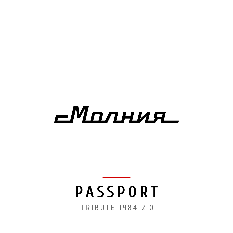# $c$ Marhur

# TRIBUTE 1984 2.0 **PASSPORT**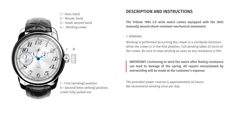

- First (winding) position II – Second (time-setting) position, crown fully pulled out

# DESCRIPTION AND INSTRUCTIONS

The Tribute 1984 2.0 wrist watch comes equipped with the 3603 manually wound shock-resistant mechanical movement.

#### 1. WINDING

Winding is performed by turning the crown in a clockwise direction while the crown is in the first position. Full winding takes 23 turns of the crown. Be sure to stop winding as soon as any resistance is felt.

IMPORTANT: Continuing to wind the watch after feeling resistance can lead to damage of the spring. All repairs necessitated by overwinding will be made at the customer's expense.

The provided power reserve is approximately 40 hours. We recommend winding once per day.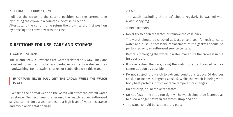#### 2. SETTING THE CURRENT TIME

Pull out the crown to the second position. Set the current time by turning the crown in a counter-clockwise direction.

After setting the current time return the crown to the first position by pressing the crown towards the case.

## DIRECTIONS FOR USE, CARE AND STORAGE

#### 1. WATER RESISTANCE

The Tribute 1984 2.0 watches are water resistant to 5 ATM. They are resistant to rain and other accidental exposure to water such as handwashing. Do not swim, snorkel, or scuba dive with this watch.

## IMPORTANT: NEVER PULL OUT THE CROWN WHILE THE WATCH IS WET.

Over time the normal wear on the watch will affect the overall water resistance. We recommend checking the watch at an authorized service center once a year to ensure a high level of water resistance and avoid accidental damage.

#### 2. CARE

The watch (excluding the strap) should regularly be washed with a wet, soapy rag.

### 3. PRECAUTIONS

- Never try to open the watch or remove the case back.
- The watch should be checked at least once a year for resistance to water and dust. If necessary, replacement of the gaskets should be performed only in authorized service centers.
- Before submerging the watch in water, make sure the crown is in the first position.
- If water enters the case, bring the watch to an authorized service center as soon as possible.
- Do not subject the watch to extreme conditions (above 60 degrees Celsius or below -5 degrees Celsius). While the watch is being worn body heat protects it from extreme temperature changes.
- Do not drop, hit, or strike the watch.
- Do not fasten the strap too tightly. The watch should be fastened as to allow a finger between the watch strap and arm.
- The watch should be kept in a dry place.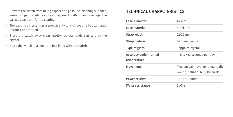- **FIGURE 1** Prevent the watch from being exposed to gasoline, cleaning supplies, **TECHNICAL CHARACTERISTICS** aerosols, paints, etc, as they may react with it and damage the gaskets, case and/or its coating.
- The sapphire crystal has a special anti-scratch coating but can crack if struck or dropped.
- Store the watch away from jewelry, as diamonds can scratch the crystal.
- Store the watch in a separate box lined with soft fabric.

| Case diameter         | 44 mm                          |
|-----------------------|--------------------------------|
| Case material         | Steel 316L                     |
| Strap width           | $22 - 20$ mm                   |
| Strap material        | Genuine leather                |
| Type of glass         | Sapphire crystal               |
| Accuracy under normal | - 15  +40 seconds per day      |
| temperature           |                                |
| Movement              | Mechanical movement, manually  |
|                       | wound, caliber 3603, 18 jewels |
| Power reserve         | up to 40 hours                 |
| Water resistance      | 5 ATM                          |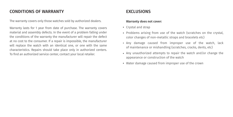# CONDITIONS OF WARRANTY EXCLUSIONS

The warranty covers only those watches sold by authorized dealers.

Warranty lasts for 1 year from date of purchase. The warranty covers material and assembly defects. In the event of a problem falling under the conditions of the warranty the manufacturer will repair the defect at no cost to the consumer. If a repair is impossible, the manufacturer will replace the watch with an identical one, or one with the same characteristics. Repairs should take place only in authorized centers. To find an authorized service center, contact your local retailer.

#### **Warranty does not cover:**

- Crystal and strap
- Problems arising from use of the watch (scratches on the crystal, color changes of non-metallic straps and bracelets etc)
- Any damage caused from improper use of the watch, lack of maintenance or mishandling (scratches, cracks, dents, etc)
- Any unauthorized attempts to repair the watch and/or change the appearance or construction of the watch
- Water damage caused from improper use of the crown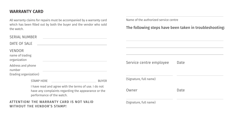# WARRANTY CARD

All warranty claims for repairs must be accompanied by a warranty card which has been filled out by both the buyer and the vendor who sold the watch.

| <b>SERIAL NUMBER</b>                                                                                                                      |                                                                          |              |
|-------------------------------------------------------------------------------------------------------------------------------------------|--------------------------------------------------------------------------|--------------|
| DATE OF SALE                                                                                                                              |                                                                          |              |
| <b>VENDOR</b><br>name of trading<br>organization                                                                                          |                                                                          |              |
| Address and phone<br>number<br>(trading organization)                                                                                     |                                                                          |              |
|                                                                                                                                           | <b>STAMP HERE</b>                                                        | <b>BUYER</b> |
| I have read and agree with the terms of use. I do not<br>have any complaints regarding the appearance or the<br>performance of the watch. |                                                                          |              |
|                                                                                                                                           | ATTENTION! THE WARRANTY CARD IS NOT VALID<br>WITHOUT THE VENDOR'S STAMPI |              |

Name of the authorized service centre

# The following steps have been taken in troubleshooting:

Service centre employee Date

(Signature, full name) Owner Date

(Signature, full name)